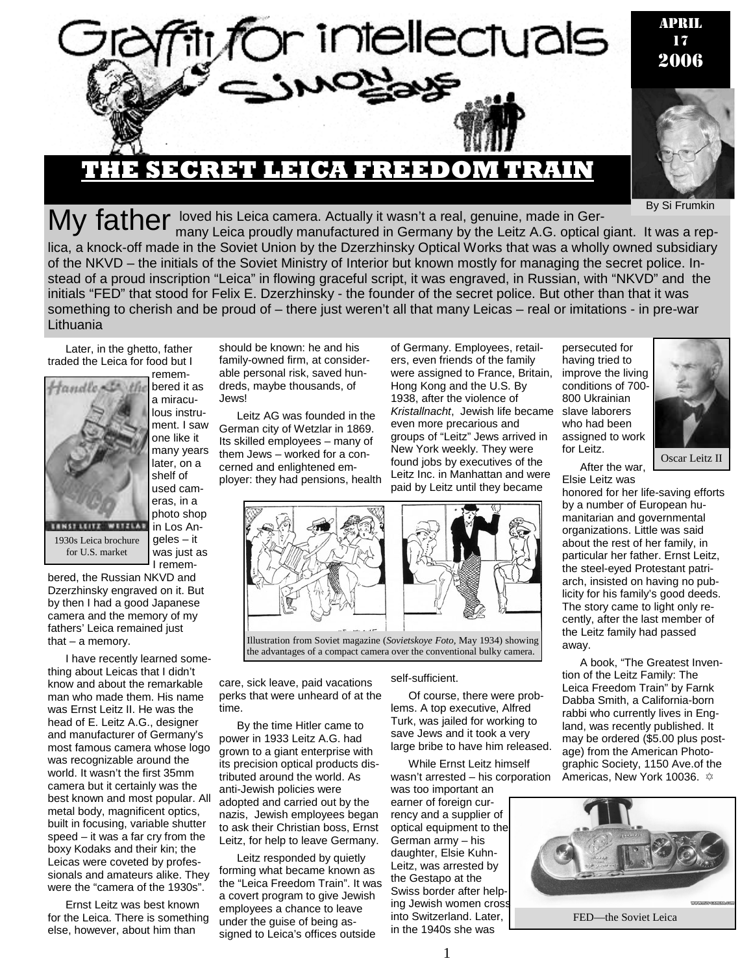

By Si Frumkin

My father loved his Leica camera. Actually it wasn't a real, genuine, made in Ger-<br>My father many Leica proudly manufactured in Germany by the Leitz A.G. optical giant. It was a replica, a knock-off made in the Soviet Union by the Dzerzhinsky Optical Works that was a wholly owned subsidiary of the NKVD – the initials of the Soviet Ministry of Interior but known mostly for managing the secret police. Instead of a proud inscription "Leica" in flowing graceful script, it was engraved, in Russian, with "NKVD" and the initials "FED" that stood for Felix E. Dzerzhinsky - the founder of the secret police. But other than that it was something to cherish and be proud of – there just weren't all that many Leicas – real or imitations - in pre-war **Lithuania** 

Later, in the ghetto, father traded the Leica for food but I remem-



lous instrument. I saw one like it many years later, on a shelf of used cameras, in a photo shop in Los Angeles – it was just as I remem-

bered it as a miracu-

1930s Leica brochure for U.S. market

bered, the Russian NKVD and Dzerzhinsky engraved on it. But by then I had a good Japanese camera and the memory of my fathers' Leica remained just that  $-$  a memory.

I have recently learned something about Leicas that I didn't know and about the remarkable man who made them. His name was Ernst Leitz II. He was the head of E. Leitz A.G., designer and manufacturer of Germany's most famous camera whose logo was recognizable around the world. It wasn't the first 35mm camera but it certainly was the best known and most popular. All metal body, magnificent optics, built in focusing, variable shutter speed – it was a far cry from the boxy Kodaks and their kin; the Leicas were coveted by professionals and amateurs alike. They were the "camera of the 1930s".

Ernst Leitz was best known for the Leica. There is something else, however, about him than

should be known: he and his family-owned firm, at considerable personal risk, saved hundreds, maybe thousands, of Jews!

Leitz AG was founded in the German city of Wetzlar in 1869. Its skilled employees – many of them Jews – worked for a concerned and enlightened employer: they had pensions, health

of Germany. Employees, retailers, even friends of the family were assigned to France, Britain, Hong Kong and the U.S. By 1938, after the violence of *Kristallnacht*, Jewish life became even more precarious and groups of "Leitz" Jews arrived in New York weekly. They were found jobs by executives of the Leitz Inc. in Manhattan and were paid by Leitz until they became

persecuted for having tried to improve the living conditions of 700- 800 Ukrainian slave laborers who had been assigned to work for Leitz.



After the war,

Elsie Leitz was honored for her life-saving efforts by a number of European humanitarian and governmental organizations. Little was said about the rest of her family, in particular her father. Ernst Leitz, the steel-eyed Protestant patriarch, insisted on having no publicity for his family's good deeds. The story came to light only recently, after the last member of the Leitz family had passed away.

A book, "The Greatest Invention of the Leitz Family: The Leica Freedom Train" by Farnk Dabba Smith, a California-born rabbi who currently lives in England, was recently published. It may be ordered (\$5.00 plus postage) from the American Photographic Society, 1150 Ave.of the Americas, New York 10036.  $\approx$ 



Illustration from Soviet magazine (*Sovietskoye Foto,* May 1934) showing

the advantages of a compact camera over the conventional bulky camera.

care, sick leave, paid vacations perks that were unheard of at the time.

By the time Hitler came to power in 1933 Leitz A.G. had grown to a giant enterprise with its precision optical products distributed around the world. As anti-Jewish policies were adopted and carried out by the nazis, Jewish employees began to ask their Christian boss, Ernst Leitz, for help to leave Germany.

Leitz responded by quietly forming what became known as the "Leica Freedom Train". It was a covert program to give Jewish employees a chance to leave under the guise of being assigned to Leica's offices outside

#### self-sufficient.

Of course, there were problems. A top executive, Alfred Turk, was jailed for working to save Jews and it took a very large bribe to have him released.

While Ernst Leitz himself wasn't arrested – his corporation was too important an

earner of foreign currency and a supplier of optical equipment to the German army – his daughter, Elsie Kuhn-Leitz, was arrested by the Gestapo at the Swiss border after helping Jewish women cross into Switzerland. Later, in the 1940s she was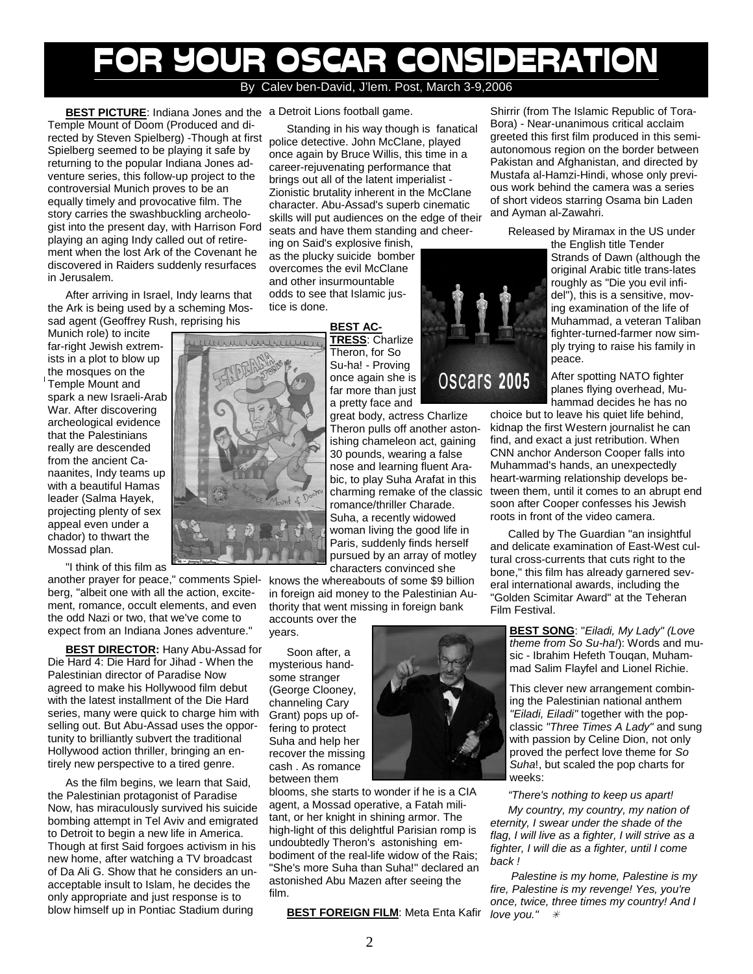# FOR YOUR OSCAR CONSIDERATION By Calev ben-David, J'lem. Post, March 3-9,2006

**BEST PICTURE**: Indiana Jones and the a Detroit Lions football game. Temple Mount of Doom (Produced and directed by Steven Spielberg) -Though at first Spielberg seemed to be playing it safe by returning to the popular Indiana Jones adventure series, this follow-up project to the controversial Munich proves to be an equally timely and provocative film. The story carries the swashbuckling archeologist into the present day, with Harrison Ford playing an aging Indy called out of retirement when the lost Ark of the Covenant he discovered in Raiders suddenly resurfaces in Jerusalem.

After arriving in Israel, Indy learns that the Ark is being used by a scheming Mossad agent (Geoffrey Rush, reprising his

Munich role) to incite far-right Jewish extremists in a plot to blow up the mosques on the Temple Mount and spark a new Israeli-Arab War. After discovering archeological evidence that the Palestinians really are descended from the ancient Canaanites, Indy teams up with a beautiful Hamas leader (Salma Hayek, projecting plenty of sex appeal even under a chador) to thwart the Mossad plan.

"I think of this film as

another prayer for peace," comments Spielberg, "albeit one with all the action, excitement, romance, occult elements, and even the odd Nazi or two, that we've come to expect from an Indiana Jones adventure."

**BEST DIRECTOR:** Hany Abu-Assad for Die Hard 4: Die Hard for Jihad - When the Palestinian director of Paradise Now agreed to make his Hollywood film debut with the latest installment of the Die Hard series, many were quick to charge him with selling out. But Abu-Assad uses the opportunity to brilliantly subvert the traditional Hollywood action thriller, bringing an entirely new perspective to a tired genre.

As the film begins, we learn that Said, the Palestinian protagonist of Paradise Now, has miraculously survived his suicide bombing attempt in Tel Aviv and emigrated to Detroit to begin a new life in America. Though at first Said forgoes activism in his new home, after watching a TV broadcast of Da Ali G. Show that he considers an unacceptable insult to Islam, he decides the only appropriate and just response is to blow himself up in Pontiac Stadium during

Standing in his way though is fanatical police detective. John McClane, played once again by Bruce Willis, this time in a career-rejuvenating performance that brings out all of the latent imperialist - Zionistic brutality inherent in the McClane character. Abu-Assad's superb cinematic skills will put audiences on the edge of their seats and have them standing and cheer-

ing on Said's explosive finish, as the plucky suicide bomber overcomes the evil McClane and other insurmountable odds to see that Islamic justice is done.

> **BEST AC-TRESS**: Charlize

Theron, for So Su-ha! - Proving once again she is far more than just a pretty face and

great body, actress Charlize Theron pulls off another astonishing chameleon act, gaining 30 pounds, wearing a false nose and learning fluent Arabic, to play Suha Arafat in this charming remake of the classic romance/thriller Charade. Suha, a recently widowed woman living the good life in Paris, suddenly finds herself pursued by an array of motley characters convinced she

knows the whereabouts of some \$9 billion in foreign aid money to the Palestinian Authority that went missing in foreign bank

accounts over the years.

Soon after, a mysterious handsome stranger (George Clooney, channeling Cary Grant) pops up offering to protect Suha and help her recover the missing cash . As romance between them

blooms, she starts to wonder if he is a CIA agent, a Mossad operative, a Fatah militant, or her knight in shining armor. The high-light of this delightful Parisian romp is undoubtedly Theron's astonishing embodiment of the real-life widow of the Rais; "She's more Suha than Suha!" declared an astonished Abu Mazen after seeing the film.

**BEST FOREIGN FILM:** Meta Enta Kafir



Shirrir (from The Islamic Republic of Tora-Bora) - Near-unanimous critical acclaim greeted this first film produced in this semiautonomous region on the border between Pakistan and Afghanistan, and directed by Mustafa al-Hamzi-Hindi, whose only previous work behind the camera was a series of short videos starring Osama bin Laden and Ayman al-Zawahri.

Released by Miramax in the US under

the English title Tender Strands of Dawn (although the original Arabic title trans-lates roughly as "Die you evil infidel"), this is a sensitive, moving examination of the life of Muhammad, a veteran Taliban fighter-turned-farmer now simply trying to raise his family in peace.

After spotting NATO fighter planes flying overhead, Muhammad decides he has no

choice but to leave his quiet life behind, kidnap the first Western journalist he can find, and exact a just retribution. When CNN anchor Anderson Cooper falls into Muhammad's hands, an unexpectedly heart-warming relationship develops between them, until it comes to an abrupt end soon after Cooper confesses his Jewish roots in front of the video camera.

Called by The Guardian "an insightful and delicate examination of East-West cultural cross-currents that cuts right to the bone," this film has already garnered several international awards, including the "Golden Scimitar Award" at the Teheran Film Festival.

**BEST SONG**: "*Eiladi, My Lady" (Love theme from So Su-ha!*): Words and music - Ibrahim Hefeth Touqan, Muhammad Salim Flayfel and Lionel Richie.

This clever new arrangement combining the Palestinian national anthem *"Eiladi, Eiladi"* together with the popclassic *"Three Times A Lady"* and sung with passion by Celine Dion, not only proved the perfect love theme for *So Suha*!, but scaled the pop charts for weeks:

## *"There's nothing to keep us apart!*

*My country, my country, my nation of eternity, I swear under the shade of the flag, I will live as a fighter, I will strive as a fighter, I will die as a fighter, until I come back !* 

 *Palestine is my home, Palestine is my fire, Palestine is my revenge! Yes, you're once, twice, three times my country! And I love you."*  $*$ 

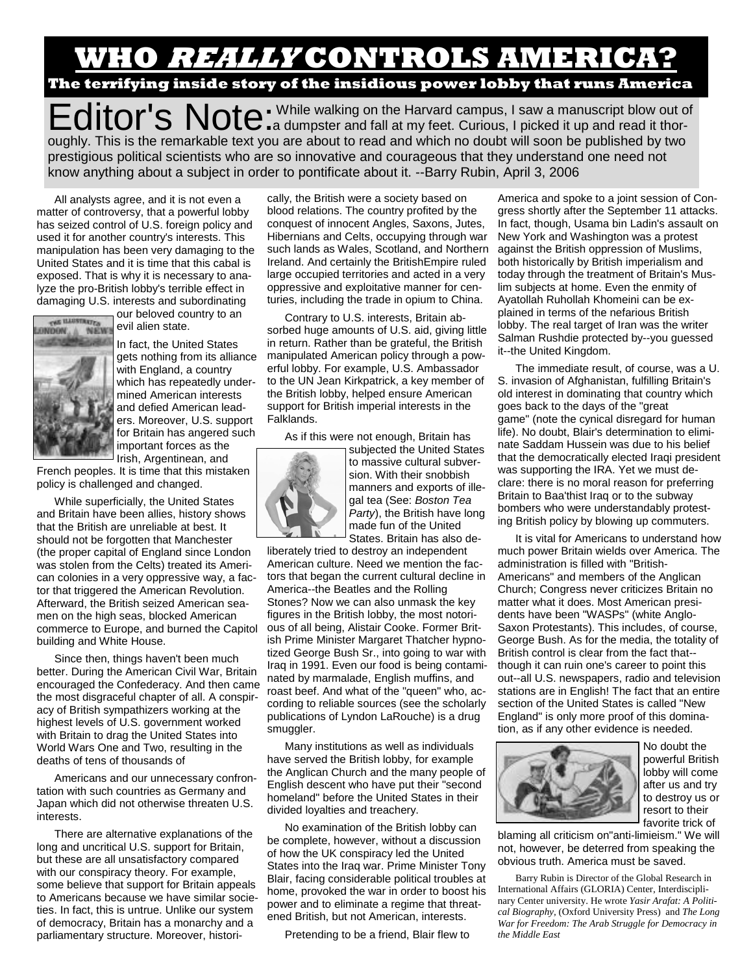# **WHO REALLY CONTROLS AMERICA? The terrifying inside story of the insidious power lobby that runs America**

Editor's Note: While walking on the Harvard campus, I saw a manuscript blow out of Curious, I picked it up and read it thoroughly. This is the remarkable text you are about to read and which no doubt will soon be published by two prestigious political scientists who are so innovative and courageous that they understand one need not know anything about a subject in order to pontificate about it. --Barry Rubin, April 3, 2006

All analysts agree, and it is not even a matter of controversy, that a powerful lobby has seized control of U.S. foreign policy and used it for another country's interests. This manipulation has been very damaging to the United States and it is time that this cabal is exposed. That is why it is necessary to analyze the pro-British lobby's terrible effect in damaging U.S. interests and subordinating



our beloved country to an evil alien state.

In fact, the United States gets nothing from its alliance with England, a country which has repeatedly undermined American interests and defied American leaders. Moreover, U.S. support for Britain has angered such important forces as the Irish, Argentinean, and

French peoples. It is time that this mistaken policy is challenged and changed.

While superficially, the United States and Britain have been allies, history shows that the British are unreliable at best. It should not be forgotten that Manchester (the proper capital of England since London was stolen from the Celts) treated its American colonies in a very oppressive way, a factor that triggered the American Revolution. Afterward, the British seized American seamen on the high seas, blocked American commerce to Europe, and burned the Capitol building and White House.

Since then, things haven't been much better. During the American Civil War, Britain encouraged the Confederacy. And then came the most disgraceful chapter of all. A conspiracy of British sympathizers working at the highest levels of U.S. government worked with Britain to drag the United States into World Wars One and Two, resulting in the deaths of tens of thousands of

Americans and our unnecessary confrontation with such countries as Germany and Japan which did not otherwise threaten U.S. interests.

There are alternative explanations of the long and uncritical U.S. support for Britain, but these are all unsatisfactory compared with our conspiracy theory. For example, some believe that support for Britain appeals to Americans because we have similar societies. In fact, this is untrue. Unlike our system of democracy, Britain has a monarchy and a parliamentary structure. Moreover, historically, the British were a society based on blood relations. The country profited by the conquest of innocent Angles, Saxons, Jutes, Hibernians and Celts, occupying through war such lands as Wales, Scotland, and Northern Ireland. And certainly the BritishEmpire ruled large occupied territories and acted in a very oppressive and exploitative manner for centuries, including the trade in opium to China.

Contrary to U.S. interests, Britain absorbed huge amounts of U.S. aid, giving little in return. Rather than be grateful, the British manipulated American policy through a powerful lobby. For example, U.S. Ambassador to the UN Jean Kirkpatrick, a key member of the British lobby, helped ensure American support for British imperial interests in the Falklands.

As if this were not enough, Britain has



to massive cultural subversion. With their snobbish manners and exports of illegal tea (See: *Boston Tea Party*), the British have long made fun of the United States. Britain has also de-

subjected the United States

liberately tried to destroy an independent American culture. Need we mention the factors that began the current cultural decline in America--the Beatles and the Rolling Stones? Now we can also unmask the key figures in the British lobby, the most notorious of all being, Alistair Cooke. Former British Prime Minister Margaret Thatcher hypnotized George Bush Sr., into going to war with Iraq in 1991. Even our food is being contaminated by marmalade, English muffins, and roast beef. And what of the "queen" who, according to reliable sources (see the scholarly publications of Lyndon LaRouche) is a drug smuggler.

Many institutions as well as individuals have served the British lobby, for example the Anglican Church and the many people of English descent who have put their "second homeland" before the United States in their divided loyalties and treachery.

No examination of the British lobby can be complete, however, without a discussion of how the UK conspiracy led the United States into the Iraq war. Prime Minister Tony Blair, facing considerable political troubles at home, provoked the war in order to boost his power and to eliminate a regime that threatened British, but not American, interests.

3 Pretending to be a friend, Blair flew to

America and spoke to a joint session of Congress shortly after the September 11 attacks. In fact, though, Usama bin Ladin's assault on New York and Washington was a protest against the British oppression of Muslims, both historically by British imperialism and today through the treatment of Britain's Muslim subjects at home. Even the enmity of Ayatollah Ruhollah Khomeini can be explained in terms of the nefarious British lobby. The real target of Iran was the writer Salman Rushdie protected by--you guessed it--the United Kingdom.

The immediate result, of course, was a U. S. invasion of Afghanistan, fulfilling Britain's old interest in dominating that country which goes back to the days of the "great game" (note the cynical disregard for human life). No doubt, Blair's determination to eliminate Saddam Hussein was due to his belief that the democratically elected Iraqi president was supporting the IRA. Yet we must declare: there is no moral reason for preferring Britain to Baa'thist Iraq or to the subway bombers who were understandably protesting British policy by blowing up commuters.

It is vital for Americans to understand how much power Britain wields over America. The administration is filled with "British-Americans" and members of the Anglican Church; Congress never criticizes Britain no matter what it does. Most American presidents have been "WASPs" (white Anglo-Saxon Protestants). This includes, of course, George Bush. As for the media, the totality of British control is clear from the fact that- though it can ruin one's career to point this out--all U.S. newspapers, radio and television stations are in English! The fact that an entire section of the United States is called "New England" is only more proof of this domination, as if any other evidence is needed.



No doubt the powerful British lobby will come after us and try to destroy us or resort to their favorite trick of

blaming all criticism on"anti-limieism." We will not, however, be deterred from speaking the obvious truth. America must be saved.

Barry Rubin is Director of the Global Research in International Affairs (GLORIA) Center, Interdisciplinary Center university. He wrote *Yasir Arafat: A Political Biography,* (Oxford University Press) and *The Long War for Freedom: The Arab Struggle for Democracy in the Middle East*